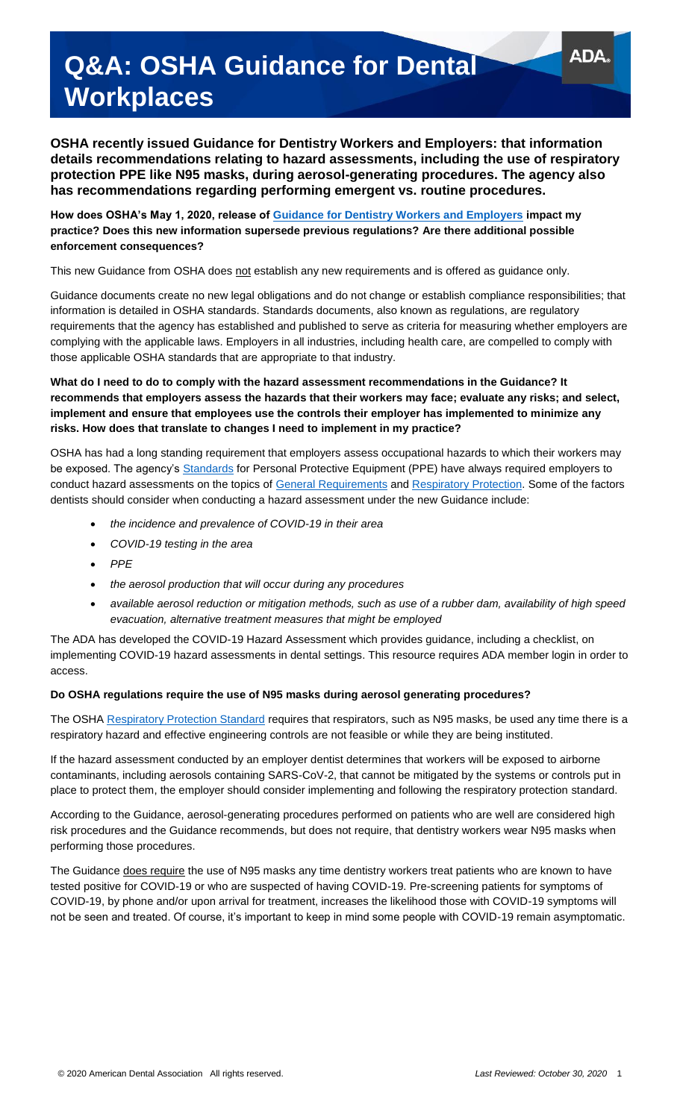# **Q&A: OSHA Guidance for Dental Workplaces**

**OSHA recently issued Guidance for Dentistry Workers and Employers: that information details recommendations relating to hazard assessments, including the use of respiratory protection PPE like N95 masks, during aerosol-generating procedures. The agency also has recommendations regarding performing emergent vs. routine procedures.** 

**How does OSHA's May 1, 2020, release of [Guidance for Dentistry Workers and Employers](https://www.osha.gov/SLTC/covid-19/dentistry.html) impact my practice? Does this new information supersede previous regulations? Are there additional possible enforcement consequences?** 

This new Guidance from OSHA does not establish any new requirements and is offered as guidance only.

Guidance documents create no new legal obligations and do not change or establish compliance responsibilities; that information is detailed in OSHA standards. Standards documents, also known as regulations, are regulatory requirements that the agency has established and published to serve as criteria for measuring whether employers are complying with the applicable laws. Employers in all industries, including health care, are compelled to comply with those applicable OSHA standards that are appropriate to that industry.

### **What do I need to do to comply with the hazard assessment recommendations in the Guidance? It recommends that employers assess the hazards that their workers may face; evaluate any risks; and select, implement and ensure that employees use the controls their employer has implemented to minimize any risks. How does that translate to changes I need to implement in my practice?**

OSHA has had a long standing requirement that employers assess occupational hazards to which their workers may be exposed. The agency's [Standards](https://www.osha.gov/SLTC/covid-19/standards.html) for Personal Protective Equipment (PPE) have always required employers to conduct hazard assessments on the topics of [General Requirements](https://www.osha.gov/laws-regs/regulations/standardnumber/1910/1910.132) and [Respiratory Protection.](https://www.osha.gov/laws-regs/regulations/standardnumber/1910/1910.134) Some of the factors dentists should consider when conducting a hazard assessment under the new Guidance include:

- *the incidence and prevalence of COVID-19 in their area*
- *COVID-19 testing in the area*
- *PPE*
- *the aerosol production that will occur during any procedures*
- *available aerosol reduction or mitigation methods, such as use of a rubber dam, availability of high speed evacuation, alternative treatment measures that might be employed*

The ADA has developed the COVID-19 Hazard Assessment which provides guidance, including a checklist, on implementing COVID-19 hazard assessments in dental settings. This resource requires ADA member login in order to access.

### **Do OSHA regulations require the use of N95 masks during aerosol generating procedures?**

The OSHA [Respiratory Protection Standard](https://www.osha.gov/laws-regs/regulations/standardnumber/1910/1910.134) requires that respirators, such as N95 masks, be used any time there is a respiratory hazard and effective engineering controls are not feasible or while they are being instituted.

If the hazard assessment conducted by an employer dentist determines that workers will be exposed to airborne contaminants, including aerosols containing SARS-CoV-2, that cannot be mitigated by the systems or controls put in place to protect them, the employer should consider implementing and following the respiratory protection standard.

According to the Guidance, aerosol-generating procedures performed on patients who are well are considered high risk procedures and the Guidance recommends, but does not require, that dentistry workers wear N95 masks when performing those procedures.

The Guidance does require the use of N95 masks any time dentistry workers treat patients who are known to have tested positive for COVID-19 or who are suspected of having COVID-19. Pre-screening patients for symptoms of COVID-19, by phone and/or upon arrival for treatment, increases the likelihood those with COVID-19 symptoms will not be seen and treated. Of course, it's important to keep in mind some people with COVID-19 remain asymptomatic.